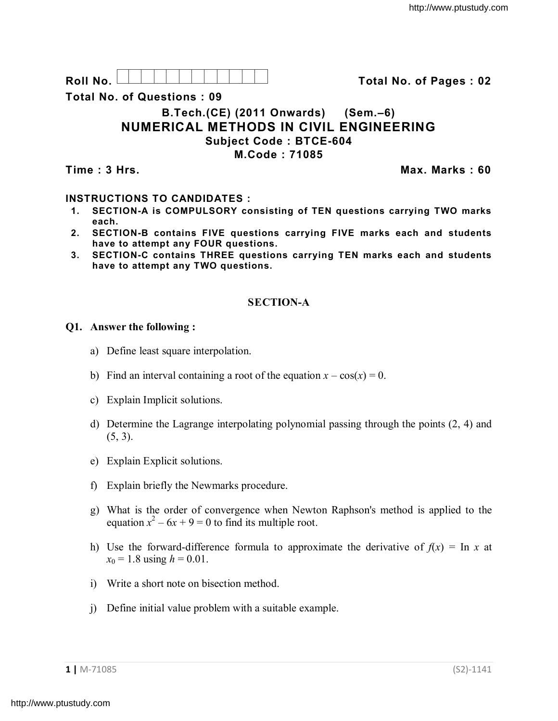**Roll No. Total No. of Pages : 02**

**Total No. of Questions : 09**

# **B.Tech.(CE) (2011 Onwards) (Sem.–6) NUMERICAL METHODS IN CIVIL ENGINEERING Subject Code : BTCE-604 M.Code : 71085**

**Time : 3 Hrs. Max. Marks : 60**

## **INSTRUCTIONS TO CANDIDATES :**

- **1. SECTION-A is COMPULSORY consisting of TEN questions carrying TWO marks each.**
- **2. SECTION-B contains FIVE questions carrying FIVE marks each and students have to attempt any FOUR questions.**
- **3. SECTION-C contains THREE questions carrying TEN marks each and students have to attempt any TWO questions.**

## **SECTION-A**

#### **Q1. Answer the following :**

- a) Define least square interpolation.
- b) Find an interval containing a root of the equation  $x cos(x) = 0$ .
- c) Explain Implicit solutions.
- d) Determine the Lagrange interpolating polynomial passing through the points (2, 4) and  $(5, 3)$ .
- e) Explain Explicit solutions.
- f) Explain briefly the Newmarks procedure.
- g) What is the order of convergence when Newton Raphson's method is applied to the equation  $x^2 - 6x + 9 = 0$  to find its multiple root.
- h) Use the forward-difference formula to approximate the derivative of  $f(x) = \ln x$  at  $x_0 = 1.8$  using  $h = 0.01$ .
- i) Write a short note on bisection method.
- j) Define initial value problem with a suitable example.